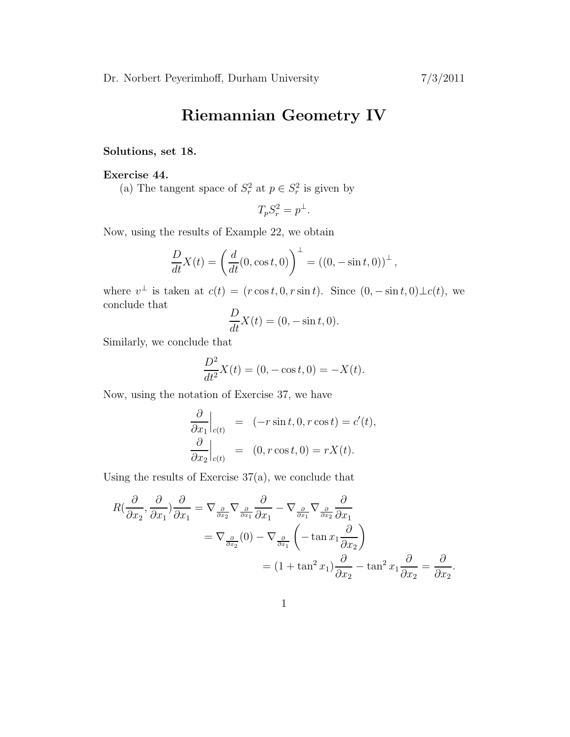# Riemannian Geometry IV

# Solutions, set 18.

## Exercise 44.

(a) The tangent space of  $S_r^2$  at  $p \in S_r^2$  is given by

$$
T_p S_r^2 = p^\perp.
$$

Now, using the results of Example 22, we obtain

$$
\frac{D}{dt}X(t) = \left(\frac{d}{dt}(0, \cos t, 0)\right)^{\perp} = ((0, -\sin t, 0))^{\perp},
$$

where  $v^{\perp}$  is taken at  $c(t) = (r \cos t, 0, r \sin t)$ . Since  $(0, -\sin t, 0) \perp c(t)$ , we conclude that

$$
\frac{D}{dt}X(t) = (0, -\sin t, 0).
$$

Similarly, we conclude that

$$
\frac{D^2}{dt^2}X(t) = (0, -\cos t, 0) = -X(t).
$$

Now, using the notation of Exercise 37, we have

$$
\frac{\partial}{\partial x_1}\Big|_{c(t)} = (-r\sin t, 0, r\cos t) = c'(t),
$$
  

$$
\frac{\partial}{\partial x_2}\Big|_{c(t)} = (0, r\cos t, 0) = rX(t).
$$

Using the results of Exercise  $37(a)$ , we conclude that

$$
R\left(\frac{\partial}{\partial x_2}, \frac{\partial}{\partial x_1}\right) \frac{\partial}{\partial x_1} = \nabla_{\frac{\partial}{\partial x_2}} \nabla_{\frac{\partial}{\partial x_1}} \frac{\partial}{\partial x_1} - \nabla_{\frac{\partial}{\partial x_1}} \nabla_{\frac{\partial}{\partial x_2}} \frac{\partial}{\partial x_1}
$$
  
=  $\nabla_{\frac{\partial}{\partial x_2}}(0) - \nabla_{\frac{\partial}{\partial x_1}} \left( -\tan x_1 \frac{\partial}{\partial x_2} \right)$   
=  $(1 + \tan^2 x_1) \frac{\partial}{\partial x_2} - \tan^2 x_1 \frac{\partial}{\partial x_2} = \frac{\partial}{\partial x_2}.$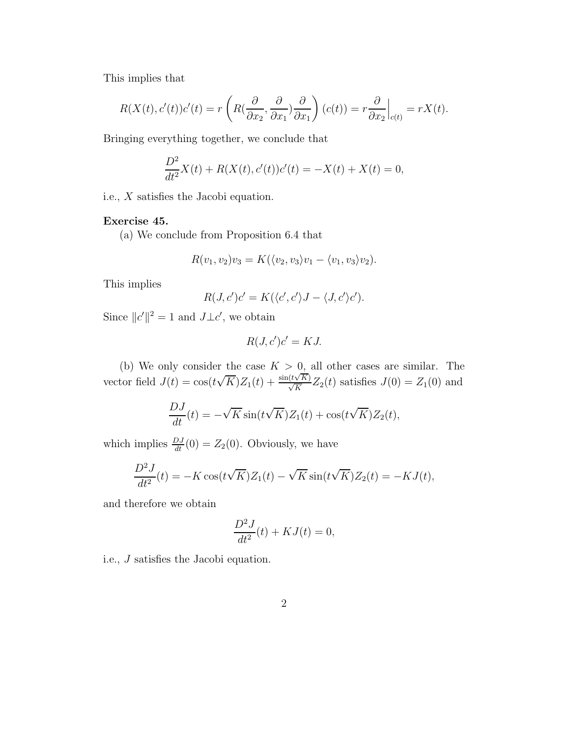This implies that

$$
R(X(t),c'(t))c'(t) = r\left(R(\frac{\partial}{\partial x_2},\frac{\partial}{\partial x_1})\frac{\partial}{\partial x_1}\right)(c(t)) = r\frac{\partial}{\partial x_2}\Big|_{c(t)} = rX(t).
$$

Bringing everything together, we conclude that

$$
\frac{D^2}{dt^2}X(t) + R(X(t), c'(t))c'(t) = -X(t) + X(t) = 0,
$$

i.e., X satisfies the Jacobi equation.

## Exercise 45.

(a) We conclude from Proposition 6.4 that

$$
R(v_1, v_2)v_3 = K(\langle v_2, v_3 \rangle v_1 - \langle v_1, v_3 \rangle v_2).
$$

This implies

$$
R(J, c')c' = K(\langle c', c'\rangle J - \langle J, c'\rangle c').
$$

Since  $||c'||^2 = 1$  and  $J\perp c'$ , we obtain

$$
R(J, c')c' = KJ.
$$

(b) We only consider the case  $K > 0$ , all other cases are similar. The vector field  $J(t) = \cos(t\sqrt{K})Z_1(t) + \frac{\sin(t\sqrt{K})}{\sqrt{K}}Z_2(t)$  satisfies  $J(0) = Z_1(0)$  and

$$
\frac{DJ}{dt}(t) = -\sqrt{K}\sin(t\sqrt{K})Z_1(t) + \cos(t\sqrt{K})Z_2(t),
$$

which implies  $\frac{DJ}{dt}(0) = Z_2(0)$ . Obviously, we have

$$
\frac{D^2J}{dt^2}(t) = -K\cos(t\sqrt{K})Z_1(t) - \sqrt{K}\sin(t\sqrt{K})Z_2(t) = -KJ(t),
$$

and therefore we obtain

$$
\frac{D^2J}{dt^2}(t) + KJ(t) = 0,
$$

i.e., J satisfies the Jacobi equation.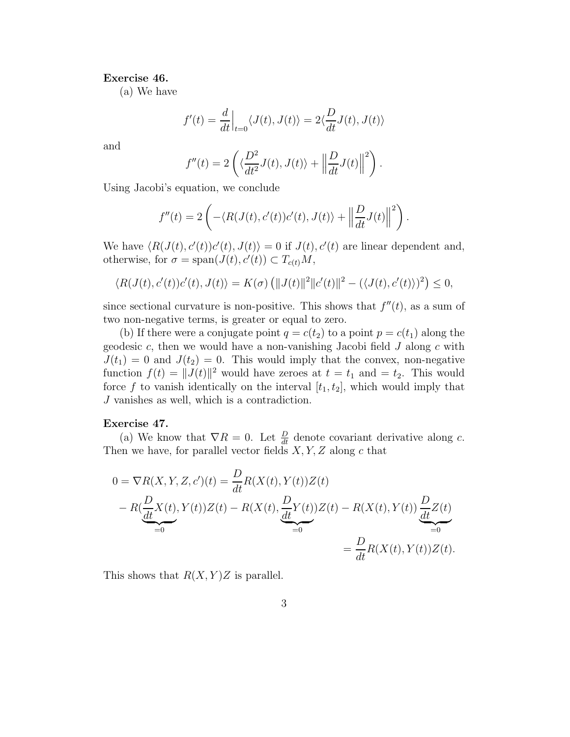#### Exercise 46.

(a) We have

$$
f'(t) = \frac{d}{dt}\Big|_{t=0} \langle J(t), J(t) \rangle = 2 \langle \frac{D}{dt} J(t), J(t) \rangle
$$

and

$$
f''(t) = 2\left(\langle \frac{D^2}{dt^2}J(t), J(t)\rangle + \left\|\frac{D}{dt}J(t)\right\|^2\right).
$$

Using Jacobi's equation, we conclude

$$
f''(t) = 2\left(-\langle R(J(t), c'(t))c'(t), J(t)\rangle + \left\|\frac{D}{dt}J(t)\right\|^2\right).
$$

We have  $\langle R(J(t), c'(t))c'(t), J(t) \rangle = 0$  if  $J(t), c'(t)$  are linear dependent and, otherwise, for  $\sigma = \text{span}(J(t), c'(t)) \subset T_{c(t)}M$ ,

$$
\langle R(J(t),c'(t))c'(t),J(t)\rangle = K(\sigma)\left(\|J(t)\|^2\|c'(t)\|^2 - (\langle J(t),c'(t)\rangle)^2\right) \leq 0,
$$

since sectional curvature is non-positive. This shows that  $f''(t)$ , as a sum of two non-negative terms, is greater or equal to zero.

(b) If there were a conjugate point  $q = c(t_2)$  to a point  $p = c(t_1)$  along the geodesic  $c$ , then we would have a non-vanishing Jacobi field  $J$  along  $c$  with  $J(t_1) = 0$  and  $J(t_2) = 0$ . This would imply that the convex, non-negative function  $f(t) = ||J(t)||^2$  would have zeroes at  $t = t_1$  and  $t = t_2$ . This would force f to vanish identically on the interval  $[t_1, t_2]$ , which would imply that J vanishes as well, which is a contradiction.

#### Exercise 47.

(a) We know that  $\nabla R = 0$ . Let  $\frac{D}{dt}$  denote covariant derivative along c. Then we have, for parallel vector fields  $X, Y, Z$  along c that

$$
0 = \nabla R(X, Y, Z, c')(t) = \frac{D}{dt} R(X(t), Y(t))Z(t)
$$
  
-  $R(\frac{D}{dt}X(t), Y(t))Z(t) - R(X(t), \frac{D}{dt}Y(t))Z(t) - R(X(t), Y(t))\frac{D}{dt}Z(t)$   
=  $0$   
=  $\frac{D}{dt}R(X(t), Y(t))Z(t)$ .

This shows that  $R(X, Y)Z$  is parallel.